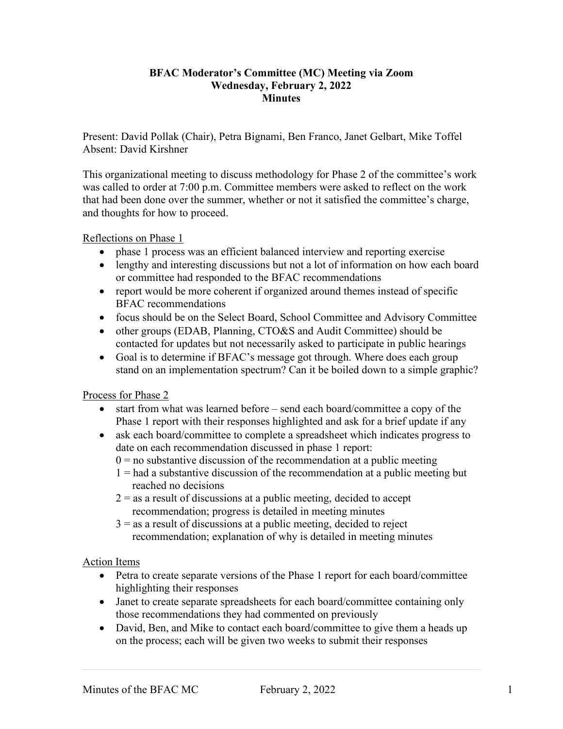## **BFAC Moderator's Committee (MC) Meeting via Zoom Wednesday, February 2, 2022 Minutes**

Present: David Pollak (Chair), Petra Bignami, Ben Franco, Janet Gelbart, Mike Toffel Absent: David Kirshner

This organizational meeting to discuss methodology for Phase 2 of the committee's work was called to order at 7:00 p.m. Committee members were asked to reflect on the work that had been done over the summer, whether or not it satisfied the committee's charge, and thoughts for how to proceed.

## Reflections on Phase 1

- phase 1 process was an efficient balanced interview and reporting exercise
- lengthy and interesting discussions but not a lot of information on how each board or committee had responded to the BFAC recommendations
- report would be more coherent if organized around themes instead of specific BFAC recommendations
- focus should be on the Select Board, School Committee and Advisory Committee
- other groups (EDAB, Planning, CTO&S and Audit Committee) should be contacted for updates but not necessarily asked to participate in public hearings
- Goal is to determine if BFAC's message got through. Where does each group stand on an implementation spectrum? Can it be boiled down to a simple graphic?

Process for Phase 2

- start from what was learned before send each board/committee a copy of the Phase 1 report with their responses highlighted and ask for a brief update if any
- ask each board/committee to complete a spreadsheet which indicates progress to date on each recommendation discussed in phase 1 report:
	- $0 =$  no substantive discussion of the recommendation at a public meeting
	- $1 =$  had a substantive discussion of the recommendation at a public meeting but reached no decisions
	- $2 =$  as a result of discussions at a public meeting, decided to accept recommendation; progress is detailed in meeting minutes
	- $3 =$  as a result of discussions at a public meeting, decided to reject recommendation; explanation of why is detailed in meeting minutes

## Action Items

- Petra to create separate versions of the Phase 1 report for each board/committee highlighting their responses
- Janet to create separate spreadsheets for each board/committee containing only those recommendations they had commented on previously
- David, Ben, and Mike to contact each board/committee to give them a heads up on the process; each will be given two weeks to submit their responses